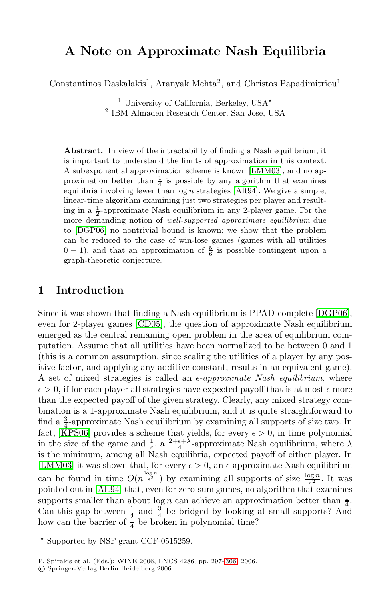# **A Note on Approximate Nash Equilibria**

Constantinos Daskalakis<sup>1</sup>, Ara[nyak Meh](#page-9-0)ta<sup>2</sup>, and Christos Papadimitriou<sup>1</sup>

<sup>1</sup> Universit[y of Ca](#page-9-1)lifornia, Berkeley, USA<sup>\*</sup> <sup>2</sup> IBM Almaden Research Center, San Jose, USA

**Abstract.** In view of the intractability of finding a Nash equilibrium, it is important to understand the limits of approximation in this context. A subexponential approximation scheme is known [LMM03], and no approximation better than  $\frac{1}{4}$  is possible by any algorithm that examines equilibria involving fewer than  $\log n$  strategies [Alt94]. We give a simple, linear-time algorithm examining just two strategies per player and resulting in a  $\frac{1}{2}$ -approximate Nash equilibrium in any 2-player game. For the more demanding notion of *well-supported approximate equilibrium* due to [DGP06] no nontrivial bound is known; we [show tha](#page-9-2)t the problem [can be](#page-9-3) reduced to the case of win-lose games (games with all utilities  $0 - 1$ ), and that an approximation of  $\frac{5}{6}$  is possible contingent upon a graph-theoretic conjecture.

# **1 Introduction**

Since it was shown that finding a Nash equilibrium is PPAD-complete [DGP06], even for 2-player games [CD05], the question of approximate Nash equilibrium emerged as the central remaining open problem in the area of equilibrium computation. Assume that all utilities have been normalized to be between 0 and 1 (this is a common assumption, since scaling the utilities of a player by any positive factor, and applying any additive constant, results in an equivalent game). A set of mixed strategies is called an  $\epsilon$ -*approximate Nash equilibrium*, where  $\epsilon > 0$ , if for each player all strategies have expected payoff that is at most  $\epsilon$  more [th](#page-9-1)an the expected payoff of the given strategy. Clearly, any mixed strategy combination is a 1-approximate Nash equilibrium, and it is quite straightforward to find a  $\frac{3}{4}$ -approximate Nash equilibrium by examining all supports of size two. In fact, [KPS06] provides a scheme that yields, for every  $\epsilon > 0$ , in time polynomial in the size of the game and  $\frac{1}{\epsilon}$ , a  $\frac{2+\epsilon+\lambda}{4}$ -approximate Nash equilibrium, where  $\lambda$ is the minimum, among all Nash equilibria, expected payoff of either player. In [LMM03] it was shown that, for every  $\epsilon > 0$ , an  $\epsilon$ -approximate Nash equilibrium can be found in time  $O(n^{\frac{\log n}{\epsilon^2}})$  $O(n^{\frac{\log n}{\epsilon^2}})$  by examining all supports of size  $\frac{\log n}{\epsilon^2}$ . It was pointed out in [Alt94] that, even for zero-sum games, no algorithm that examines supports smaller than about  $\log n$  can achieve an approximation better than  $\frac{1}{4}$ . Can this gap between  $\frac{1}{4}$  and  $\frac{3}{4}$  be bridged by looking at small supports? And how can the barrier of  $\frac{1}{4}$  be broken in polynomial time?

<sup>-</sup> Supported by NSF grant CCF-0515259.

P. Spirakis et al. (Eds.): WINE 2006, LNCS 4286, pp. 297–306, 2006.

<sup>-</sup>c Springer-Verlag Berlin Heidelberg 2006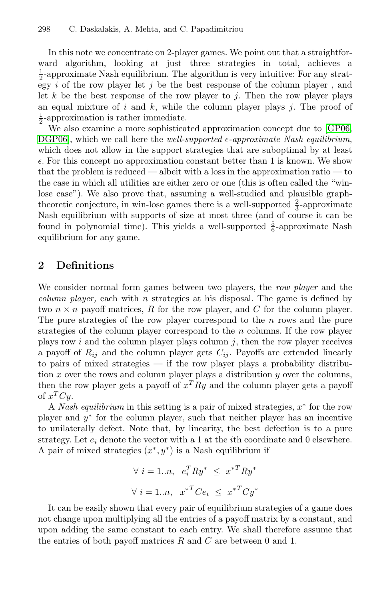In this note we concentrate on 2-player games. We p[oint](#page-9-5) [ou](#page-9-5)t that a straightforward algorithm, looking at just three strategies in total, achieves a  $\frac{1}{2}$ -approximate Nash equilibrium. The algorithm is very intuitive: For any strategy  $i$  of the row player let  $j$  be the best response of the column player, and let  $k$  be the best response of the row player to j. Then the row player plays an equal mixture of  $i$  and  $k$ , while the column player plays  $j$ . The proof of  $\frac{1}{2}$ -approximation is rather immediate.

We also examine a more sophisticated approximation concept due to [GP06, DGP06], which we call here the *well-supported*  $\epsilon$ -approximate Nash equilibrium, which does not allow in the support strategies that are suboptimal by at least  $\epsilon$ . For this concept no approximation constant better than 1 is known. We show that the problem is reduced — albeit with a loss in the approximation ratio — to the case in which all utilities are either zero or one (this is often called the "winlose case"). We also prove that, assuming a well-studied and plausible graphtheoretic conjecture, in win-lose games there is a well-supported  $\frac{2}{3}$ -approximate Nash equilibrium with supports of size at most three (and of course it can be found in polynomial time). This yields a well-supported  $\frac{5}{6}$ -approximate Nash equilibrium for any game.

### **2 Definitions**

We consider normal form games between two players, the *row player* and the *column player*, each with  $n$  strategies at his disposal. The game is defined by two  $n \times n$  payoff matrices, R for the row player, and C for the column player. The pure strategies of the row player correspond to the  $n$  rows and the pure strategies of the column player correspond to the  $n$  columns. If the row player plays row i and the column player plays column  $j$ , then the row player receives a payoff of  $R_{ij}$  and the column player gets  $C_{ij}$ . Payoffs are extended linearly to pairs of mixed strategies — if the row player plays a probability distribution  $x$  over the rows and column player plays a distribution  $y$  over the columns, then the row player gets a payoff of  $x^T R y$  and the column player gets a payoff of  $x^TCy$ .

A *Nash equilibrium* in this setting is a pair of mixed strategies, x<sup>∗</sup> for the row player and  $y^*$  for the column player, such that neither player has an incentive to unilaterally defect. Note that, by linearity, the best defection is to a pure strategy. Let  $e_i$  denote the vector with a 1 at the *i*th coordinate and 0 elsewhere. A pair of mixed strategies  $(x^*, y^*)$  is a Nash equilibrium if

$$
\forall i = 1...n, e_i^T R y^* \leq x^{*T} R y^*
$$

$$
\forall i = 1...n, x^{*T} C e_i \leq x^{*T} C y^*
$$

It can be easily shown that every pair of equilibrium strategies of a game does not change upon multiplying all the entries of a payoff matrix by a constant, and upon adding the same constant to each entry. We shall therefore assume that the entries of both payoff matrices  $R$  and  $C$  are between 0 and 1.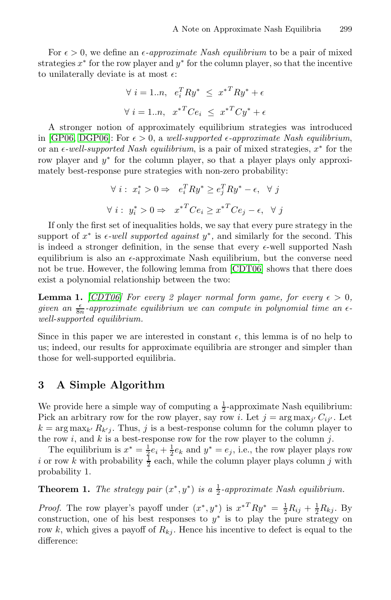For  $\epsilon > 0$ , we define an  $\epsilon$ -*approximate Nash equilibrium* to be a pair of mixed strategies  $x^*$  for the row player and  $y^*$  for the column player, so that the incentive to unilaterally deviate is at most  $\epsilon$ :

$$
\forall i = 1...n, e_i^T R y^* \leq x^{*T} R y^* + \epsilon
$$

$$
\forall i = 1...n, x^{*T} C e_i \leq x^{*T} C y^* + \epsilon
$$

A stronger notion of approximately equilibrium strategies was introduced in [GP06, DGP06]: For  $\epsilon > 0$ , a well-supported  $\epsilon$ -approximate Nash equilibrium, or an -*-well-supported Nash equilibrium*, is a pair of mixed strategies, x<sup>∗</sup> for the row player and y<sup>∗</sup> for the column player, so that a player plays only approximately best-response pure strategies with non-zero probability:

$$
\forall i: x_i^* > 0 \Rightarrow e_i^T R y^* \ge e_j^T R y^* - \epsilon, \quad \forall j
$$
  

$$
\forall i: y_i^* > 0 \Rightarrow x^{*T} C e_i \ge x^{*T} C e_j - \epsilon, \quad \forall j
$$

If only the first set of inequalities holds, we say that every pure strategy in the support of  $x^*$  is  $\epsilon$ -well supported against  $y^*$ , and similarly for the second. This is indeed a stronger definition, in the sense that every  $\epsilon$ -well supported Nash equilibrium is also an  $\epsilon$ -approximate Nash equilibrium, but the converse need not be true. However, the following lemma from [CDT06] shows that there does exist a polynomial relationship between the two:

**Lemma 1.** *[CDT06] For every* 2 player normal form game, for every  $\epsilon > 0$ , given an  $\frac{\epsilon}{8n}$ -approximate equilibrium we can compute in polynomial time an  $\epsilon$ *well-supported equilibrium.*

Since in this paper we are interested in constant  $\epsilon$ , this lemma is of no help to us; indeed, our results for approximate equilibria are stronger and simpler than those for well-supported equilibria.

# **3 A Simple Algorithm**

We provide here a simple way of computing a  $\frac{1}{2}$ -approximate Nash equilibrium: Pick an arbitrary row for the row player, say row *i*. Let  $j = \arg \max_{j'} C_{ij'}$ . Let  $k = \arg \max_{k'} R_{k'j}$ . Thus, j is a best-response column for the column player to the row  $i$ , and  $k$  is a best-response row for the row player to the column  $j$ .

The equilibrium is  $x^* = \frac{1}{2}e_i + \frac{1}{2}e_k$  and  $y^* = e_j$ , i.e., the row player plays row *i* or row *k* with probability  $\frac{1}{2}$  each, while the column player plays column *j* with probability 1.

**Theorem 1.** *The strategy pair*  $(x^*, y^*)$  *is a*  $\frac{1}{2}$ *-approximate Nash equilibrium.* 

*Proof.* The row player's payoff under  $(x^*, y^*)$  is  $x^{*T}Ry^* = \frac{1}{2}R_{ij} + \frac{1}{2}R_{kj}$ . By construction, one of his best responses to  $y^*$  is to play the pure strategy on row k, which gives a payoff of  $R_{kj}$ . Hence his incentive to defect is equal to the difference: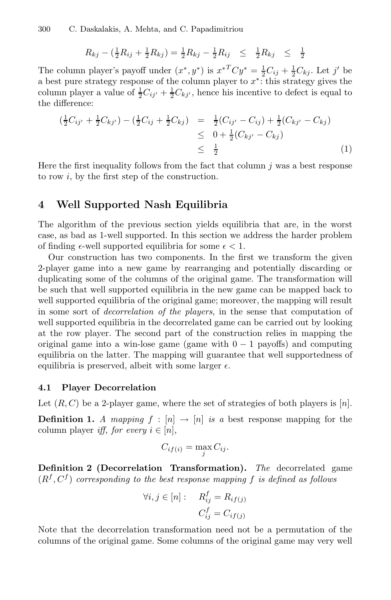$$
R_{kj} - \left(\frac{1}{2}R_{ij} + \frac{1}{2}R_{kj}\right) = \frac{1}{2}R_{kj} - \frac{1}{2}R_{ij} \leq \frac{1}{2}R_{kj} \leq \frac{1}{2}
$$

The column player's payoff under  $(x^*, y^*)$  is  $x^{*T}Cy^* = \frac{1}{2}C_{ij} + \frac{1}{2}C_{kj}$ . Let j' be a best pure strategy response of the column player to x∗: this strategy gives the column player a value of  $\frac{1}{2}C_{ij'} + \frac{1}{2}C_{kj'}$ , hence his incentive to defect is equal to the difference:

$$
\begin{aligned}\n\left(\frac{1}{2}C_{ij'} + \frac{1}{2}C_{kj'}\right) - \left(\frac{1}{2}C_{ij} + \frac{1}{2}C_{kj}\right) &= \frac{1}{2}(C_{ij'} - C_{ij}) + \frac{1}{2}(C_{kj'} - C_{kj}) \\
&\leq 0 + \frac{1}{2}(C_{kj'} - C_{kj}) \\
&\leq \frac{1}{2}\n\end{aligned}
$$
\n(1)

Here the first inequality follows from the fact that column  $j$  was a best response to row i, by the first step of the construction.

### **4 Well Supported Nash Equilibria**

The algorithm of the previous section yields equilibria that are, in the worst case, as bad as 1-well supported. In this section we address the harder problem of finding  $\epsilon$ -well supported equilibria for some  $\epsilon < 1$ .

Our construction has two components. In the first we transform the given 2-player game into a new game by rearranging and potentially discarding or duplicating some of the columns of the original game. The transformation will be such that well supported equilibria in the new game can be mapped back to well supported equilibria of the original game; moreover, the mapping will result in some sort of *decorrelation of the players*, in the sense that computation of well supported equilibria in the decorrelated game can be carried out by looking at the row player. The second part of the construction relies in mapping the original game into a win-lose game (game with  $0 - 1$  payoffs) and computing equilibria on the latter. The mapping will guarantee that well supportedness of equilibria is preserved, albeit with some larger  $\epsilon$ .

#### **4.1 Player Decorrelation**

Let  $(R, C)$  be a 2-player game, where the set of strategies of both players is  $[n]$ .

**Definition 1.** A mapping  $f : [n] \rightarrow [n]$  is a best response mapping for the column player *iff, for every*  $i \in [n]$ ,

$$
C_{if(i)} = \max_{j} C_{ij}.
$$

**Definition 2 (Decorrelation Transformation).** *The* decorrelated game  $(R<sup>f</sup>, C<sup>f</sup>)$  *corresponding to the best response mapping*  $f$  *is defined as follows* 

$$
\forall i, j \in [n]: \quad R_{ij}^f = R_{if(j)}
$$

$$
C_{ij}^f = C_{if(j)}
$$

Note that the decorrelation transformation need not be a permutation of the columns of the original game. Some columns of the original game may very well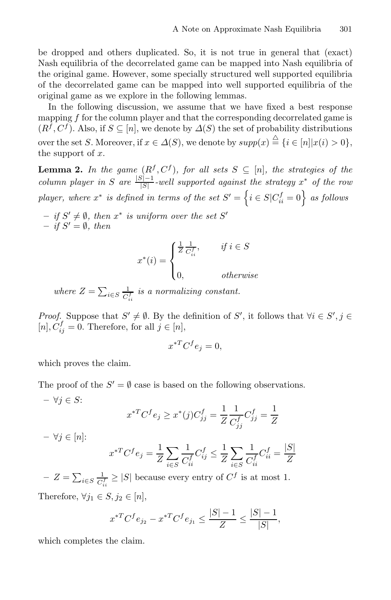be dropped and others duplicated. So, it is not true in general that (exact) Nash equilibria of the decorrelated game can be mapped into Nash equilibria of the original game. However, some specially structured well supported equilibria of the decorrelated game can be mapped into well supported equilibria of the original game as we explore in the following lemmas.

In the following discussion, we assume that we have fixed a best response mapping f for the column player and that the corresponding decorrelated game is  $(R<sup>f</sup>, C<sup>f</sup>)$ . Also, if  $S \subseteq [n]$ , we denote by  $\Delta(S)$  the set of probability distributions over the set S. Moreover, if  $x \in \Delta(S)$ , we denote by  $supp(x) \stackrel{\triangle}{=} \{i \in [n]|x(i) > 0\},$ the support of  $x$ .

**Lemma 2.** *In the game*  $(R^f, C^f)$ *, for all sets*  $S \subseteq [n]$ *, the strategies of the column player in* S are  $\frac{|S|-1}{|S|}$ -well supported against the strategy x<sup>\*</sup> *of the row player, where*  $x^*$  *is defined in terms of the set*  $S' = \left\{ i \in S | C_{ii}^f = 0 \right\}$  *as follows* 

 $-$  *if*  $S' \neq \emptyset$ *, then*  $x^*$  *is uniform over the set*  $S'$  $-$  *if*  $S' = \emptyset$ *, then* 

$$
x^*(i) = \begin{cases} \frac{1}{Z} \frac{1}{C_{ii}^f}, & \text{if } i \in S \\ 0, & \text{otherwise} \end{cases}
$$

where  $Z = \sum_{i \in S} \frac{1}{C_{ii}^f}$  is a normalizing constant. ii

*Proof.* Suppose that  $S' \neq \emptyset$ . By the definition of S', it follows that  $\forall i \in S', j \in$  $[n], \dot{C}_{ij}^f = 0.$  Therefore, for all  $j \in [n],$ 

$$
x^{*T}C^f e_j = 0,
$$

which proves the claim.

The proof of the  $S' = \emptyset$  case is based on the following observations.

$$
-\forall j \in S:
$$
  

$$
x^{*T}C^f e_j \ge x^*(j)C^f_{jj} = \frac{1}{Z}\frac{1}{C^f_{jj}}C^f_{jj} = \frac{1}{Z}
$$
  

$$
-\forall j \in [n]:
$$
  

$$
x^{*T}C^f e_j = \frac{1}{Z}\sum_{i \in S}\frac{1}{C^f_{ii}}C^f_{ij} \le \frac{1}{Z}\sum_{i \in S}\frac{1}{C^f_{ii}}C^f_{ii} = \frac{|S|}{Z}
$$

 $− Z = ∑_{i∈S} \frac{1}{C_{ii}^f} ≥ |S|$  because every entry of  $C^f$  is at most 1. ii Therefore,  $\forall j_1 \in S, j_2 \in [n],$ 

$$
x^{*T}C^{f}e_{j_2} - x^{*T}C^{f}e_{j_1} \le \frac{|S|-1}{Z} \le \frac{|S|-1}{|S|},
$$

which completes the claim.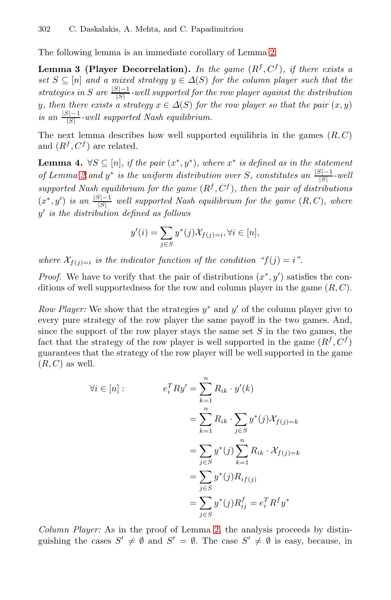<span id="page-5-0"></span>The following lemma is an immediate corollary of Lemma 2.

<span id="page-5-1"></span>**Lemma 3 (Player Decorrelation).** In the game  $(R^f, C^f)$ , if there exists a *set*  $S \subseteq [n]$  *and a mixed strategy*  $y \in \Delta(S)$  *for the column player such that the strategies in* S are  $\frac{|S|-1}{|S|}$  *-well supported for the row player against the distribution* y, then there exists a strategy  $x \in \Delta(S)$  for the row player so that the pair  $(x, y)$  $\frac{|S|-1}{|S|}$ -well supported Nash equilibrium.

The next lemma describes how well supported equilibria in the games  $(R, C)$ and  $(R^f, C^f)$  are related.

**Lemma 4.** ∀S ⊆ [n]*, if the pair*  $(x^*, y^*)$ *, where*  $x^*$  *is defined as in the statement of Lemma 2 and*  $y^*$  *is the uniform distribution over* S, constitutes an  $\frac{|S| - 1}{|S|}$ -well *supported Nash equilibrium for the game*  $(R^f, C^f)$ *, then the pair of distributions*  $(x^*, y')$  *is an*  $\frac{|S|-1}{|S|}$  *well supported Nash equilibrium for the game*  $(R, C)$ *, where* y *is the distribution defined as follows*

$$
y'(i) = \sum_{j \in S} y^*(j) \mathcal{X}_{f(j)=i}, \forall i \in [n],
$$

*where*  $\mathcal{X}_{f(j)=i}$  *is the indicator function of the condition "f(j) = i".* 

*Proof.* We have to verify that the pair of distributions  $(x^*, y')$  satisfies the conditions of well supportedness for the row and column player in the game  $(R, C)$ .

*Row Player:* We show that the strategies  $y^*$  and  $y'$  of the column player give to every pure strategy of the row player the same payoff in the two games. And, since the support of the row player stays the same set  $S$  in the two games, the fact that the strategy of the row player is well supported in the game  $(R^f, C^f)$ guarantees that the strategy of the row player will be well supported in the game  $(R, C)$  as well.

$$
\forall i \in [n]: \qquad e_i^T R y' = \sum_{k=1}^n R_{ik} \cdot y'(k)
$$

$$
= \sum_{k=1}^n R_{ik} \cdot \sum_{j \in S} y^*(j) \mathcal{X}_{f(j)=k}
$$

$$
= \sum_{j \in S} y^*(j) \sum_{k=1}^n R_{ik} \cdot \mathcal{X}_{f(j)=k}
$$

$$
= \sum_{j \in S} y^*(j) R_{if(j)}
$$

$$
= \sum_{j \in S} y^*(j) R_{ij}^f = e_i^T R^f y^*
$$

*Column Player:* As in the proof of Lemma 2, the analysis proceeds by distinguishing the cases  $S' \neq \emptyset$  and  $S' = \emptyset$ . The case  $S' \neq \emptyset$  is easy, because, in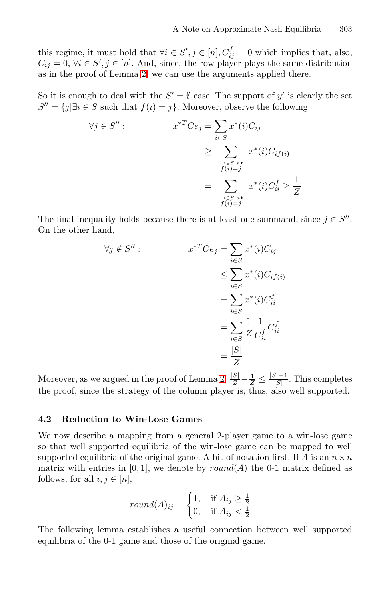this regime, it must hold that  $\forall i \in S', j \in [n], C_{ij}^f = 0$  which implies that, also,  $C_{ij} = 0, \forall i \in S', j \in [n]$ . And, since, the row player plays the same distribution as in the proof of Lemma 2, we can use the arguments applied there.

So it is enough to deal with the  $S' = \emptyset$  case. The support of y' is clearly the set  $S'' = \{j | \exists i \in S \text{ such that } f(i) = j\}.$  Moreover, observe the following:

$$
\forall j \in S'' : \qquad x^{*T}Ce_j = \sum_{i \in S} x^*(i)C_{ij}
$$

$$
\geq \sum_{\substack{i \in S \text{ s.t.} \\ f(i) = j}} x^*(i)C_{if(i)}
$$

$$
= \sum_{\substack{i \in S \text{ s.t.} \\ f(i) = j}} x^*(i)C_{ii}^f \geq \frac{1}{Z}
$$

The final inequality holds because there is at least one summand, since  $j \in S''$ . On the other hand,

$$
\forall j \notin S'' : \qquad x^{*T}Ce_j = \sum_{i \in S} x^*(i)C_{ij}
$$

$$
\leq \sum_{i \in S} x^*(i)C_{if(i)}
$$

$$
= \sum_{i \in S} x^*(i)C_{ii}^f
$$

$$
= \sum_{i \in S} \frac{1}{Z} \frac{1}{C_{ii}^f} C_{ii}^f
$$

$$
= \frac{|S|}{Z}
$$

Moreover, as we argued in the proof of Lemma 2,  $\frac{|S|}{Z} - \frac{1}{Z} \le \frac{|S|-1}{|S|}$ . This completes the proof, since the strategy of the column player is, thus, also well supported.

### **4.2 Reduction to Win-Lose Games**

<span id="page-6-0"></span>We now describe a mapping from a general 2-player game to a win-lose game so that well supported equilibria of the win-lose game can be mapped to well supported equilibria of the original game. A bit of notation first. If A is an  $n \times n$ matrix with entries in  $[0, 1]$ , we denote by  $round(A)$  the 0-1 matrix defined as follows, for all  $i, j \in [n]$ ,

$$
round(A)_{ij} = \begin{cases} 1, & \text{if } A_{ij} \ge \frac{1}{2} \\ 0, & \text{if } A_{ij} < \frac{1}{2} \end{cases}
$$

The following lemma establishes a useful connection between well supported equilibria of the 0-1 game and those of the original game.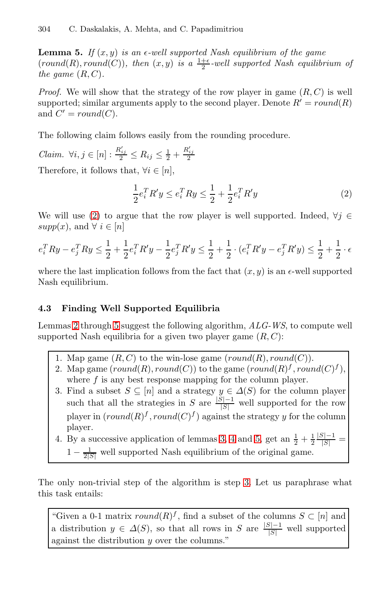**Lemma 5.** If  $(x, y)$  is an  $\epsilon$ -well supported Nash equilibrium of the game  $(round(R), round(C)),$  then  $(x, y)$  is a  $\frac{1+\epsilon}{2}$ -well supported Nash equilibrium of *the game*  $(R, C)$ *.* 

*Proof.* We will show that the strategy of the row player in game  $(R, C)$  is well supported; similar arguments apply to the second player. Denote  $R' = round(R)$ and  $C' = round(C)$ .

The following claim follows easily from the rounding procedure.

*Claim.*  $\forall i, j \in [n]: \frac{R'_{ij}}{2} \leq R_{ij} \leq \frac{1}{2} + \frac{R'_{ij}}{2}$ Therefore, it follows that,  $\forall i \in [n]$ ,

$$
\frac{1}{2}e_i^T R' y \le e_i^T R y \le \frac{1}{2} + \frac{1}{2}e_i^T R' y \tag{2}
$$

We will use (2) to argue that the row player is well supported. Indeed,  $\forall j \in$ supp $(x)$ , and  $\forall i \in [n]$ 

$$
e_i^T R y - e_j^T R y \le \frac{1}{2} + \frac{1}{2} e_i^T R' y - \frac{1}{2} e_j^T R' y \le \frac{1}{2} + \frac{1}{2} \cdot (e_i^T R' y - e_j^T R' y) \le \frac{1}{2} + \frac{1}{2} \cdot \epsilon
$$

where the last implication follows from the fact that  $(x, y)$  is an  $\epsilon$ -well supported Nash equilibrium.

### <span id="page-7-0"></span>**4.3 Finding Well Supported Equilibria**

Lemmas 2 through 5 suggest the following algorithm, *ALG-WS*, to compute well supported Nash equilibria for a given two player game  $(R, C)$ :

- 1. Map game  $(R, C)$  t[o](#page-5-0) t[he](#page-5-1) wi[n-lo](#page-6-0)se game  $(round(R), round(C))$ .
- 2. Map game  $(round(R), round(C))$  to the game  $(round(R)^f, round(C)^f)$
- where  $f$  is any best response mapping for the column player.
- 3. Find a subset  $S \subseteq [n]$  and a strategy  $y \in \Delta(S)$  for the column player such that all the strategi[es](#page-7-0) in  $S$  are  $\frac{|S|-1}{|S|}$  well supported for the row player in  $(round(R)^f, round(C)^f)$  against the strategy y for the column player.
- 4. By a successive application of lemmas 3, 4 and 5, get an  $\frac{1}{2} + \frac{1}{2} \frac{|S|-1}{|S|} =$  $1 - \frac{1}{2|S|}$  well supported Nash equilibrium of the original game.

The only non-trivial step of the algorithm is step 3. Let us paraphrase what this task entails:

"Given a 0-1 matrix  $round(R)^f$ , find a subset of the columns  $S \subset [n]$  and a distribution  $y \in \Delta(S)$ , so that all rows in S are  $\frac{|S|-1}{|S|}$  well supported against the distribution  $y$  over the columns."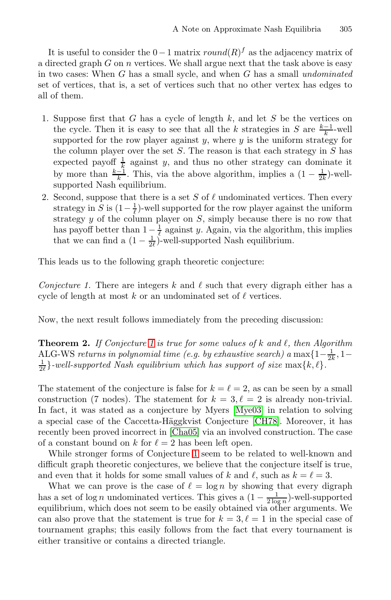It is useful to consider the  $0-1$  matrix  $round(R)^f$  as the adjacency matrix of a directed graph  $G$  on  $n$  vertices. We shall argue next that the task above is easy in two cases: When G has a small sycle, and when G has a small *undominated* set of vertices, that is, a set of vertices such that no other vertex has edges to all of them.

- 1. Suppose first that  $G$  has a cycle of length  $k$ , and let  $S$  be the vertices on the cycle. Then it is easy to see that all the k strategies in S are  $\frac{k-1}{k}$ -well supported for the row player against  $y$ , where  $y$  is the uniform strategy for the column player over the set  $S$ . The reason is that each strategy in  $S$  has expected payoff  $\frac{1}{k}$  against y, and thus no other strategy can dominate it by more than  $\frac{k-1}{k}$ . This, via the above algorithm, implies a  $(1 - \frac{1}{2k})$ -wellsupported Nash equilibrium.
- <span id="page-8-0"></span>2. Second, suppose that there is a set S of  $\ell$  undominated vertices. Then every strategy in S is  $(1 - \frac{1}{\ell})$ -well supported for the row player against the uniform strategy  $y$  of the column player on  $S$ , simply because there is no row that has payoff better than  $1 - \frac{1}{\ell}$  against y. Again, via the algorithm, this implies that we can find a  $(1 - \frac{1}{2\ell})$ -well-supported Nash equilibrium.

This lea[ds](#page-8-0) us to the following graph theoretic conjecture:

*Conjecture 1.* There are integers k and  $\ell$  such that every digraph either has a cycle of length at most k or an undominated set of  $\ell$  vertices.

Now, the next result follows i[mmediat](#page-9-7)ely from the preceding discussion:

**Th[e](#page-9-8)orem 2.** [If Conje](#page-9-9)cture 1 is true [for](#page-9-8) [so](#page-9-8)me values of k and  $\ell$ , then Algorithm ALG-WS returns in polynomial time (e.g. by exhaustive search) a max $\{1-\frac{1}{2k}, 1-\frac{1}{2k}, \ldots\}$  and cumperted Nach equilibrium which has expressed as  $\mu \in \mathbb{R}$  $\frac{1}{2}$ *-well-supported [Na](#page-8-0)sh equilibrium which has support of size* max{ $k, l$ }.

The statement of the conjecture is false for  $k = \ell = 2$ , as can be seen by a small construction (7 nodes). The statement for  $k = 3, \ell = 2$  is already non-trivial. In fact, it was stated as a conjecture by Myers [Mye03] in relation to solving a special case of the Caccetta-Häggkvist Conjecture [CH78]. Moreover, it has recently been proved incorrect in [Cha05] via an involved construction. The case of a constant bound on k for  $\ell = 2$  has been left open.

While stronger forms of Conjecture 1 seem to be related to well-known and difficult graph theoretic conjectures, we believe that the conjecture itself is true, and even that it holds for some small values of k and  $\ell$ , such as  $k = \ell = 3$ .

What we can prove is the case of  $\ell = \log n$  by showing that every digraph has a set of log *n* undominated vertices. This gives a  $\left(1 - \frac{1}{2 \log n}\right)$ -well-supported equilibrium, which does not seem to be easily obtained via other arguments. We can also prove that the statement is true for  $k = 3, \ell = 1$  in the special case of tournament graphs; this easily follows from the fact that every tournament is either transitive or contains a directed triangle.